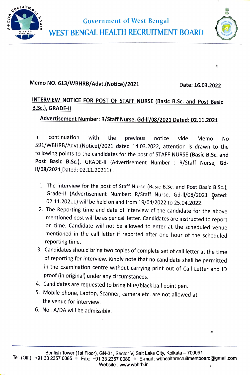



亮

 $\mathbf{a}$ 

## Memo NO. 613/WBHRB/Advt.(Notice)/20211 Date: 16.03.2022

## INTERVIEW NOTICE FOR POST OF STAFF NURSE (Basic B.Sc. and Post Basic B.Sc.), GRADE-II

## Advertisement Number: R/Staff Nurse, Gd-ll/08/2021 Dated: 02.11.2021

In continuation with the previous notice vide Memo No 591/WBHRB/Advt.(Notice)/2021 dated 14.03.2022, attention is drawn to the following points to the candidates for the post of STAFF NURSE (Basic B.Sc. and Post Basic B.Sc.), GRADE-II (Advertisement Number : R/Staff Nurse, Gd-1/08/2021Dated: 02.11.20211).

- 1. The interview for the post of Staff Nurse (Basic B.Sc. and Post Basic B.Sc.), Grade-II (Advertisement Number: R/Staff Nurse, Gd-II/08/2021 Dated: 02.11.20211) will be held on and from 19/04/2022 to 25.04.2022.
- 2. The Reporting time and date of interview of the candidate for the above mentioned post will be as per call letter. Candidates are instructed to report on time. Candidate will not be allowed to enter at the scheduled venue mentioned in the call letter if reported after one hour of the scheduled reporting time.
- 3. Candidates should bring two copies of complete set of call letter at the time of reporting for interview. Kindly note that no candidate shall be permitted in the Examination centre without carrying print out of Call Letter and ID proof (in original) under any circumstances.
- 4. Candidates are requested to bring blue/black ball point pen.
- 5. Mobile phone, Laptop, Scanner, camera etc. are not allowed at the venue for interview.
- 6. No TA/DA will be admissible.